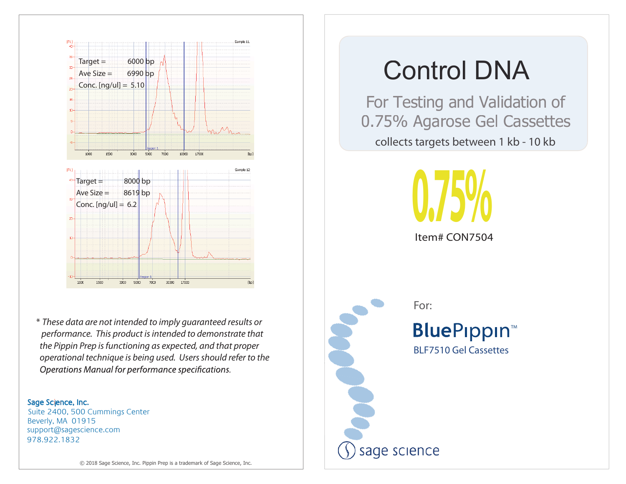

\* *These data are not intended to imply guaranteed results or performance. This product is intended to demonstrate that the Pippin Prep is functioning as expected, and that proper operational technique is being used. Users should refer to the*  Operations Manual for performance specifications.

### Sage Science, Inc.

978.922.1832 support@sagescience.com Suite 2400, 500 Cummings Center Beverly, MA 01915

 For Testing and Validation of 0.75% Agarose Gel Cassettes collects targets between 1 kb - 10 kb



Item# CON7504